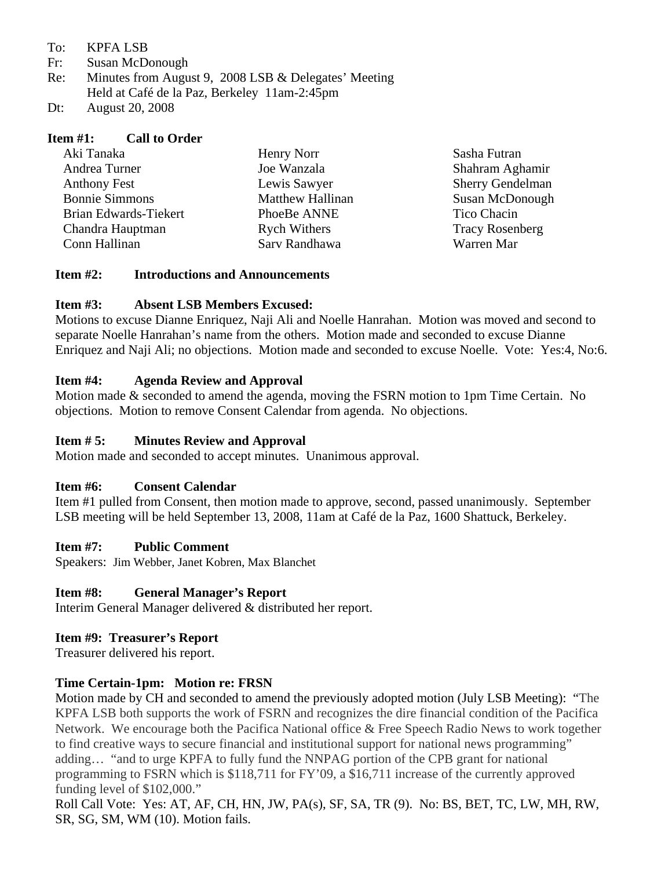To: KPFA LSB

Fr: Susan McDonough

- Re: Minutes from August 9, 2008 LSB & Delegates' Meeting Held at Café de la Paz, Berkeley 11am-2:45pm
- Dt: August 20, 2008

#### **Item #1: Call to Order**

| Aki Tanaka            | Henry Norr              | Sasha Futran            |
|-----------------------|-------------------------|-------------------------|
| Andrea Turner         | Joe Wanzala             | Shahram Aghamir         |
| <b>Anthony Fest</b>   | Lewis Sawyer            | <b>Sherry Gendelman</b> |
| <b>Bonnie Simmons</b> | <b>Matthew Hallinan</b> | Susan McDonough         |
| Brian Edwards-Tiekert | PhoeBe ANNE             | Tico Chacin             |
| Chandra Hauptman      | <b>Rych Withers</b>     | <b>Tracy Rosenberg</b>  |
| Conn Hallinan         | Sarv Randhawa           | Warren Mar              |

#### **Item #2: Introductions and Announcements**

## **Item #3: Absent LSB Members Excused:**

Motions to excuse Dianne Enriquez, Naji Ali and Noelle Hanrahan. Motion was moved and second to separate Noelle Hanrahan's name from the others. Motion made and seconded to excuse Dianne Enriquez and Naji Ali; no objections. Motion made and seconded to excuse Noelle. Vote: Yes:4, No:6.

#### **Item #4: Agenda Review and Approval**

Motion made & seconded to amend the agenda, moving the FSRN motion to 1pm Time Certain. No objections. Motion to remove Consent Calendar from agenda. No objections.

## **Item # 5: Minutes Review and Approval**

Motion made and seconded to accept minutes. Unanimous approval.

## **Item #6: Consent Calendar**

Item #1 pulled from Consent, then motion made to approve, second, passed unanimously. September LSB meeting will be held September 13, 2008, 11am at Café de la Paz, 1600 Shattuck, Berkeley.

## **Item #7: Public Comment**

Speakers: Jim Webber, Janet Kobren, Max Blanchet

## **Item #8: General Manager's Report**

Interim General Manager delivered & distributed her report.

## **Item #9: Treasurer's Report**

Treasurer delivered his report.

## **Time Certain-1pm: Motion re: FRSN**

Motion made by CH and seconded to amend the previously adopted motion (July LSB Meeting): "The KPFA LSB both supports the work of FSRN and recognizes the dire financial condition of the Pacifica Network. We encourage both the Pacifica National office & Free Speech Radio News to work together to find creative ways to secure financial and institutional support for national news programming" adding… "and to urge KPFA to fully fund the NNPAG portion of the CPB grant for national programming to FSRN which is \$118,711 for FY'09, a \$16,711 increase of the currently approved funding level of \$102,000."

Roll Call Vote: Yes: AT, AF, CH, HN, JW, PA(s), SF, SA, TR (9). No: BS, BET, TC, LW, MH, RW, SR, SG, SM, WM (10). Motion fails.